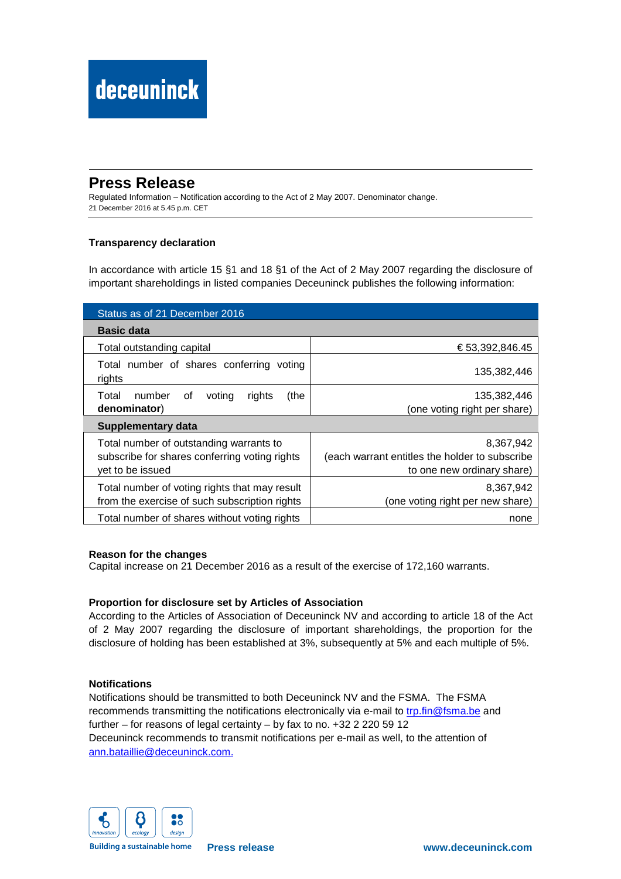## **Press Release**

Regulated Information – Notification according to the Act of 2 May 2007. Denominator change. 21 December 2016 at 5.45 p.m. CET

## **Transparency declaration**

In accordance with article 15 §1 and 18 §1 of the Act of 2 May 2007 regarding the disclosure of important shareholdings in listed companies Deceuninck publishes the following information:

| Status as of 21 December 2016                                                                                |                                                                                           |  |  |  |  |
|--------------------------------------------------------------------------------------------------------------|-------------------------------------------------------------------------------------------|--|--|--|--|
| <b>Basic data</b>                                                                                            |                                                                                           |  |  |  |  |
| Total outstanding capital                                                                                    | € 53,392,846.45                                                                           |  |  |  |  |
| Total number of shares conferring voting<br>rights                                                           | 135,382,446                                                                               |  |  |  |  |
| number<br>(the<br>Total<br>0f<br>voting<br>rights<br>denominator)                                            | 135,382,446<br>(one voting right per share)                                               |  |  |  |  |
| <b>Supplementary data</b>                                                                                    |                                                                                           |  |  |  |  |
| Total number of outstanding warrants to<br>subscribe for shares conferring voting rights<br>yet to be issued | 8,367,942<br>(each warrant entitles the holder to subscribe<br>to one new ordinary share) |  |  |  |  |
| Total number of voting rights that may result<br>from the exercise of such subscription rights               | 8.367.942<br>(one voting right per new share)                                             |  |  |  |  |
| Total number of shares without voting rights                                                                 | none                                                                                      |  |  |  |  |

## **Reason for the changes**

Capital increase on 21 December 2016 as a result of the exercise of 172,160 warrants.

## **Proportion for disclosure set by Articles of Association**

According to the Articles of Association of Deceuninck NV and according to article 18 of the Act of 2 May 2007 regarding the disclosure of important shareholdings, the proportion for the disclosure of holding has been established at 3%, subsequently at 5% and each multiple of 5%.

## **Notifications**

Notifications should be transmitted to both Deceuninck NV and the FSMA. The FSMA recommends transmitting the notifications electronically via e-mail to trp.fin@fsma.be and further – for reasons of legal certainty – by fax to no. +32 2 220 59 12 Deceuninck recommends to transmit notifications per e-mail as well, to the attention of ann.bataillie@deceuninck.com.



**Building a sustainable home**